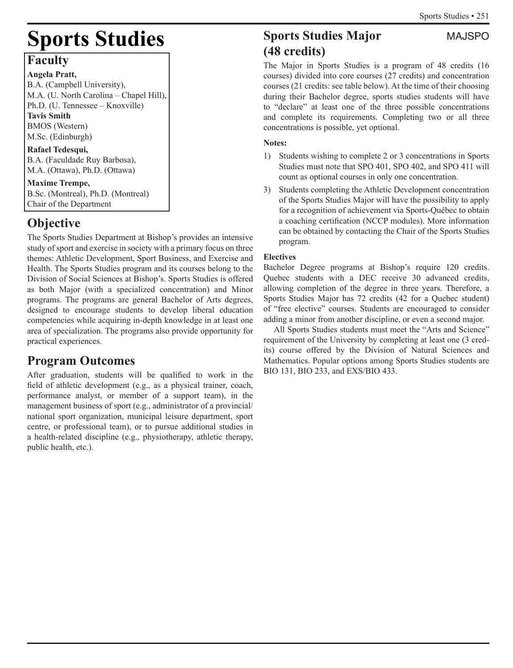# **Sports Studies**

# **Faculty**

**Angela Pratt,** B.A. (Campbell University), M.A. (U. North Carolina – Chapel Hill), Ph.D. (U. Tennessee – Knoxville) **Tavis Smith** BMOS (Western) M.Sc. (Edinburgh)

# **Rafael Tedesqui,**

B.A. (Faculdade Ruy Barbosa), M.A. (Ottawa), Ph.D. (Ottawa)

**Maxime Trempe,** B.Sc. (Montreal), Ph.D. (Montreal) Chair of the Department

# **Objective**

The Sports Studies Department at Bishop's provides an intensive study of sport and exercise in society with a primary focus on three themes: Athletic Development, Sport Business, and Exercise and Health. The Sports Studies program and its courses belong to the Division of Social Sciences at Bishop's. Sports Studies is offered as both Major (with a specialized concentration) and Minor programs. The programs are general Bachelor of Arts degrees, designed to encourage students to develop liberal education competencies while acquiring in-depth knowledge in at least one area of specialization. The programs also provide opportunity for practical experiences.

# **Program Outcomes**

After graduation, students will be qualified to work in the field of athletic development (e.g., as a physical trainer, coach, performance analyst, or member of a support team), in the management business of sport (e.g., administrator of a provincial/ national sport organization, municipal leisure department, sport centre, or professional team), or to pursue additional studies in a health-related discipline (e.g., physiotherapy, athletic therapy, public health, etc.).

# **Sports Studies Major** MAJSPO **(48 credits)**

The Major in Sports Studies is a program of 48 credits (16 courses) divided into core courses (27 credits) and concentration courses (21 credits: see table below). At the time of their choosing during their Bachelor degree, sports studies students will have to "declare" at least one of the three possible concentrations and complete its requirements. Completing two or all three concentrations is possible, yet optional.

### **Notes:**

- 1) Students wishing to complete 2 or 3 concentrations in Sports Studies must note that SPO 401, SPO 402, and SPO 411 will count as optional courses in only one concentration.
- 3) Students completing the Athletic Development concentration of the Sports Studies Major will have the possibility to apply for a recognition of achievement via Sports-Québec to obtain a coaching certification (NCCP modules). More information can be obtained by contacting the Chair of the Sports Studies program.

## **Electives**

Bachelor Degree programs at Bishop's require 120 credits. Quebec students with a DEC receive 30 advanced credits, allowing completion of the degree in three years. Therefore, a Sports Studies Major has 72 credits (42 for a Quebec student) of "free elective" courses. Students are encouraged to consider adding a minor from another discipline, or even a second major.

All Sports Studies students must meet the "Arts and Science" requirement of the University by completing at least one (3 credits) course offered by the Division of Natural Sciences and Mathematics. Popular options among Sports Studies students are BIO 131, BIO 233, and EXS/BIO 433.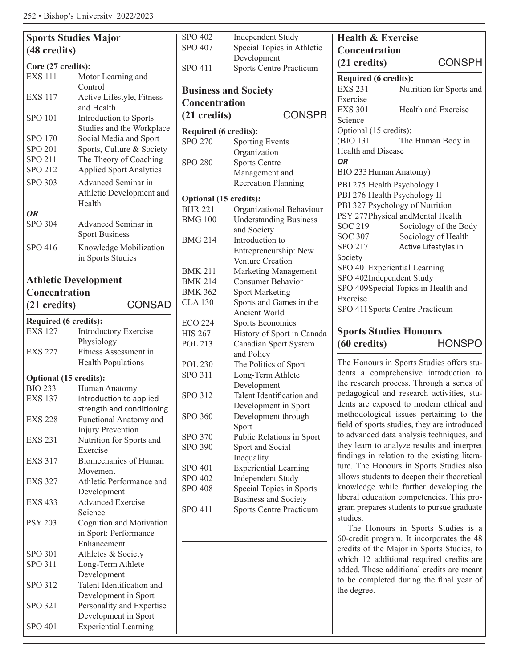| <b>Sports Studies Major</b>   |                                         | <b>SPO 402</b>                    |
|-------------------------------|-----------------------------------------|-----------------------------------|
| (48 credits)                  | SPO 407                                 |                                   |
| Core (27 credits):            |                                         | <b>SPO 411</b>                    |
| <b>EXS 111</b>                | Motor Learning and                      |                                   |
|                               | Control                                 |                                   |
| <b>EXS 117</b>                | Active Lifestyle, Fitness               | <b>Business</b>                   |
|                               | and Health                              | Concent                           |
| <b>SPO 101</b>                | Introduction to Sports                  | (21 credi                         |
|                               | Studies and the Workplace               |                                   |
| SPO 170                       | Social Media and Sport                  | <b>Required</b><br><b>SPO 270</b> |
| SPO 201                       | Sports, Culture & Society               |                                   |
| SPO 211                       | The Theory of Coaching                  | <b>SPO 280</b>                    |
| SPO 212                       | <b>Applied Sport Analytics</b>          |                                   |
| <b>SPO 303</b>                | Advanced Seminar in                     |                                   |
|                               | Athletic Development and                |                                   |
|                               | Health                                  | <b>Optional</b> (                 |
| <b>OR</b>                     |                                         | <b>BHR 221</b>                    |
| <b>SPO 304</b>                | Advanced Seminar in                     | <b>BMG 100</b>                    |
|                               | <b>Sport Business</b>                   |                                   |
| SPO 416                       | Knowledge Mobilization                  | <b>BMG 214</b>                    |
|                               | in Sports Studies                       |                                   |
|                               |                                         |                                   |
|                               |                                         | <b>BMK 211</b>                    |
|                               | <b>Athletic Development</b>             | <b>BMK 214</b>                    |
| <b>Concentration</b>          |                                         | <b>BMK 362</b>                    |
| (21 credits)                  | <b>CONSAD</b>                           | <b>CLA 130</b>                    |
| Required (6 credits):         |                                         |                                   |
| <b>EXS 127</b>                | <b>Introductory Exercise</b>            | <b>ECO 224</b>                    |
|                               | Physiology                              | <b>HIS 267</b>                    |
| <b>EXS 227</b>                | Fitness Assessment in                   | <b>POL 213</b>                    |
|                               | <b>Health Populations</b>               | <b>POL 230</b>                    |
|                               |                                         | <b>SPO 311</b>                    |
| <b>Optional (15 credits):</b> |                                         |                                   |
| <b>BIO 233</b>                | Human Anatomy                           | SPO 312                           |
| <b>EXS 137</b>                | Introduction to applied                 |                                   |
|                               | strength and conditioning               | SPO 360                           |
| <b>EXS 228</b>                | <b>Functional Anatomy and</b>           |                                   |
|                               | <b>Injury Prevention</b>                | SPO 370                           |
| <b>EXS 231</b>                | Nutrition for Sports and                | <b>SPO 390</b>                    |
|                               | Exercise                                |                                   |
| <b>EXS 317</b>                | Biomechanics of Human                   | SPO 401                           |
| <b>EXS 327</b>                | Movement<br>Athletic Performance and    | SPO 402                           |
|                               |                                         | <b>SPO 408</b>                    |
| <b>EXS 433</b>                | Development<br><b>Advanced Exercise</b> |                                   |
|                               | Science                                 | <b>SPO 411</b>                    |
| <b>PSY 203</b>                | Cognition and Motivation                |                                   |
|                               | in Sport: Performance                   |                                   |
|                               | Enhancement                             |                                   |
| SPO 301                       | Athletes & Society                      |                                   |
| <b>SPO 311</b>                | Long-Term Athlete                       |                                   |
|                               | Development                             |                                   |
| SPO 312                       | Talent Identification and               |                                   |
|                               | Development in Sport                    |                                   |
| SPO 321                       | Personality and Expertise               |                                   |
|                               | Development in Sport                    |                                   |
| SPO 401                       | <b>Experiential Learning</b>            |                                   |
|                               |                                         |                                   |

| <b>SPO 402</b>              | <b>Independent Study</b>       |
|-----------------------------|--------------------------------|
| <b>SPO 407</b>              | Special Topics in Athletic     |
|                             | Development                    |
| <b>SPO 411</b>              | <b>Sports Centre Practicum</b> |
| <b>Business and Society</b> |                                |
| <b>Concentration</b>        |                                |
| (21 credits)                | <b>CONSPB</b>                  |
| Required (6 credits):       |                                |
| <b>SPO 270</b>              | <b>Sporting Events</b>         |
|                             | Organization                   |
| <b>SPO 280</b>              | <b>Sports Centre</b>           |
|                             | Management and                 |
|                             | <b>Recreation Planning</b>     |
| Optional (15 credits):      |                                |
| <b>BHR 221</b>              | Organizational Behaviour       |
| <b>BMG 100</b>              | <b>Understanding Business</b>  |
|                             | and Society                    |
| <b>BMG 214</b>              | Introduction to                |
|                             | Entrepreneurship: New          |
|                             | <b>Venture Creation</b>        |
| <b>BMK 211</b>              | Marketing Management           |
| <b>BMK 214</b>              | Consumer Behavior              |
| <b>BMK 362</b>              | <b>Sport Marketing</b>         |
| <b>CLA 130</b>              | Sports and Games in the        |
|                             | Ancient World                  |
| <b>ECO 224</b>              | <b>Sports Economics</b>        |
| <b>HIS 267</b>              | History of Sport in Canada     |
| POL 213                     | Canadian Sport System          |
|                             | and Policy                     |
| <b>POL 230</b>              | The Politics of Sport          |
| <b>SPO 311</b>              | Long-Term Athlete              |
|                             | Development                    |
| <b>SPO 312</b>              | Talent Identification and      |
|                             | Development in Sport           |
| <b>SPO 360</b>              | Development through            |
|                             | Sport                          |
| <b>SPO 370</b>              | Public Relations in Sport      |
| <b>SPO 390</b>              | Sport and Social               |
|                             | Inequality                     |
| SPO 401                     | <b>Experiential Learning</b>   |
| SPO 402                     | <b>Independent Study</b>       |
| <b>SPO 408</b>              | Special Topics in Sports       |
|                             | <b>Business and Society</b>    |
| SPO 411                     | <b>Sports Centre Practicum</b> |
|                             |                                |

| Concentration                |                                     |  |  |  |
|------------------------------|-------------------------------------|--|--|--|
| (21 credits)                 | <b>CONSPH</b>                       |  |  |  |
| Required (6 credits):        |                                     |  |  |  |
| <b>EXS 231</b>               | Nutrition for Sports and            |  |  |  |
| Exercise                     |                                     |  |  |  |
| <b>EXS 301</b>               | Health and Exercise                 |  |  |  |
| Science                      |                                     |  |  |  |
| Optional (15 credits):       |                                     |  |  |  |
| (BIO 131)                    | The Human Body in                   |  |  |  |
| Health and Disease           |                                     |  |  |  |
| ΟR                           |                                     |  |  |  |
| BIO 233 Human Anatomy)       |                                     |  |  |  |
| PBI 275 Health Psychology I  |                                     |  |  |  |
| PBI 276 Health Psychology II |                                     |  |  |  |
|                              | PBI 327 Psychology of Nutrition     |  |  |  |
|                              | PSY 277Physical andMental Health    |  |  |  |
| SOC 219                      | Sociology of the Body               |  |  |  |
| <b>SOC 307</b>               | Sociology of Health                 |  |  |  |
| SPO 217                      | Active Lifestyles in                |  |  |  |
| Society                      |                                     |  |  |  |
| SPO 401Experiential Learning |                                     |  |  |  |
| SPO 402Independent Study     |                                     |  |  |  |
|                              | SPO 409Special Topics in Health and |  |  |  |
| Exercise                     |                                     |  |  |  |
|                              | SPO 411 Sports Centre Practicum     |  |  |  |

**Health & Exercise Concentration** 

# **Sports Studies Honours (60 credits)** HONSPO

The Honours in Sports Studies offers students a comprehensive introduction to the research process. Through a series of pedagogical and research activities, students are exposed to modern ethical and methodological issues pertaining to the field of sports studies, they are introduced to advanced data analysis techniques, and they learn to analyze results and interpret findings in relation to the existing literature. The Honours in Sports Studies also allows students to deepen their theoretical knowledge while further developing the liberal education competencies. This program prepares students to pursue graduate studies.

The Honours in Sports Studies is a 60-credit program. It incorporates the 48 credits of the Major in Sports Studies, to which 12 additional required credits are added. These additional credits are meant to be completed during the final year of the degree.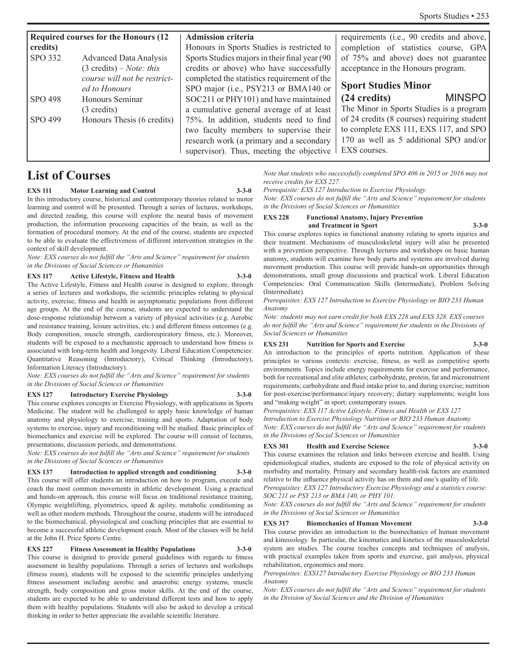| <b>Required courses for the Honours (12)</b> |                                    | <b>Admission criteria</b>                      | requirements (i.e., 90 credits and above,   |
|----------------------------------------------|------------------------------------|------------------------------------------------|---------------------------------------------|
| credits)                                     |                                    | Honours in Sports Studies is restricted to     | completion of statistics course, GPA        |
| SPO 332                                      | <b>Advanced Data Analysis</b>      | Sports Studies majors in their final year (90) | of 75% and above) does not guarantee        |
|                                              | $(3 \text{ credits}) - Note: this$ | credits or above) who have successfully        | acceptance in the Honours program.          |
|                                              | course will not be restrict-       | completed the statistics requirement of the    |                                             |
|                                              | ed to Honours                      | SPO major (i.e., PSY213 or BMA140 or           | <b>Sport Studies Minor</b>                  |
| SPO 498                                      | Honours Seminar                    | SOC211 or PHY101) and have maintained          | <b>MINSPO</b><br>$(24 \text{ credits})$     |
|                                              | $(3 \text{ credits})$              | a cumulative general average of at least       | The Minor in Sports Studies is a program    |
| SPO 499                                      | Honours Thesis (6 credits)         | 75%. In addition, students need to find        | of 24 credits (8 courses) requiring student |
|                                              |                                    | two faculty members to supervise their         | to complete EXS 111, EXS 117, and SPO       |
|                                              |                                    | research work (a primary and a secondary       | 170 as well as 5 additional SPO and/or      |
|                                              |                                    | supervisor). Thus, meeting the objective       | EXS courses.                                |
|                                              |                                    |                                                |                                             |

# **List of Courses**

#### **EXS 111 Motor Learning and Control 3-3-0**

In this introductory course, historical and contemporary theories related to motor learning and control will be presented. Through a series of lectures, workshops, and directed reading, this course will explore the neural basis of movement production, the information processing capacities of the brain, as well as the formation of procedural memory. At the end of the course, students are expected to be able to evaluate the effectiveness of different intervention strategies in the context of skill development.

*Note: EXS courses do not fulfill the "Arts and Science" requirement for students in the Divisions of Social Sciences or Humanities*

### **EXS 117 Active Lifestyle, Fitness and Health 3-3-0**

The Active Lifestyle, Fitness and Health course is designed to explore, through a series of lectures and workshops, the scientific principles relating to physical activity, exercise, fitness and health in asymptomatic populations from different age groups. At the end of the course, students are expected to understand the dose-response relationship between a variety of physical activities (e.g. Aerobic and resistance training, leisure activities, etc.) and different fitness outcomes (e.g. Body composition, muscle strength, cardiorespiratory fitness, etc.). Moreover, students will be exposed to a mechanistic approach to understand how fitness is associated with long-term health and longevity. Liberal Education Competencies: Quantitative Reasoning (Introductory), Critical Thinking (Introductory), Information Literacy (Introductory).

*Note: EXS courses do not fulfill the "Arts and Science" requirement for students in the Divisions of Social Sciences or Humanities*

#### **EXS 127 Introductory Exercise Physiology 3-3-0**

This course explores concepts in Exercise Physiology, with applications in Sports Medicine. The student will be challenged to apply basic knowledge of human anatomy and physiology to exercise, training and sports. Adaptation of body systems to exercise, injury and reconditioning will be studied. Basic principles of biomechanics and exercise will be explored. The course will consist of lectures, presentations, discussion periods, and demonstrations.

*Note: EXS courses do not fulfill the "Arts and Science" requirement for students in the Divisions of Social Sciences or Humanities*

**EXS 137 Introduction to applied strength and conditioning 3-3-0** This course will offer students an introduction on how to program, execute and coach the most common movements in athletic development. Using a practical and hands-on approach, this course will focus on traditional resistance training, Olympic weightlifting, plyometrics, speed & agility, metabolic conditioning as well as other modern methods. Throughout the course, students will be introduced to the biomechanical, physiological and coaching principles that are essential to become a successful athletic development coach. Most of the classes will be held at the John H. Price Sports Centre.

#### **EXS 227 Fitness Assessment in Healthy Populations 3-3-0**

This course is designed to provide general guidelines with regards to fitness assessment in healthy populations. Through a series of lectures and workshops (fitness room), students will be exposed to the scientific principles underlying fitness assessment including aerobic and anaerobic energy systems, muscle strength, body composition and gross motor skills. At the end of the course, students are expected to be able to understand different tests and how to apply them with healthy populations. Students will also be asked to develop a critical thinking in order to better appreciate the available scientific literature.

*Note that students who successfully completed SPO 406 in 2015 or 2016 may not receive credits for EXS 227.*

#### *Prerequisite: EXS 127 Introduction to Exercise Physiology*

*Note: EXS courses do not fulfill the "Arts and Science" requirement for students in the Divisions of Social Sciences or Humanities*

#### **EXS 228 Functional Anatomy, Injury Prevention and Treatment in Sport 3-3-0**

This course explores topics in functional anatomy relating to sports injuries and their treatment. Mechanisms of musculoskeletal injury will also be presented with a prevention perspective. Through lectures and workshops on basic human anatomy, students will examine how body parts and systems are involved during movement production. This course will provide hands-on opportunities through demonstrations, small group discussions and practical work. Liberal Education Competencies: Oral Communication Skills (Intermediate), Problem Solving (Intermediate).

*Prerequisites: EXS 127 Introduction to Exercise Physiology or BIO 233 Human Anatomy*

*Note: students may not earn credit for both EXS 228 and EXS 328. EXS courses do not fulfill the "Arts and Science" requirement for students in the Divisions of Social Sciences or Humanities*

#### **EXS 231 Nutrition for Sports and Exercise 3-3-0**

An introduction to the principles of sports nutrition. Application of these principles to various contexts: exercise, fitness, as well as competitive sports environments. Topics include energy requirements for exercise and performance, both for recreational and elite athletes; carbohydrate, protein, fat and micronutrient requirements; carbohydrate and fluid intake prior to, and during exercise; nutrition for post-exercise/performance/injury recovery; dietary supplements; weight loss and "making weight" in sport; contemporary issues.

*Prerequisites: EXS 117 Active Lifestyle, Fitness and Health or EXS 127* 

*Introduction to Exercise Physiology Nutrition or BIO 233 Human Anatomy Note: EXS courses do not fulfill the "Arts and Science" requirement for students in the Divisions of Social Sciences or Humanities*

#### **EXS 301 Health and Exercise Science 3-3-0**

This course examines the relation and links between exercise and health. Using epidemiological studies, students are exposed to the role of physical activity on morbidity and mortality. Primary and secondary health-risk factors are examined relative to the influence physical activity has on them and one's quality of life.

*Prerequisites: EXS 127 Introductory Exercise Physiology and a statistics course: SOC 211 or PSY 213 or BMA 140, or PHY 101.*

*Note: EXS courses do not fulfill the "Arts and Science" requirement for students in the Divisions of Social Sciences or Humanities*

#### **EXS 317 Biomechanics of Human Movement 3-3-0**

This course provides an introduction to the biomechanics of human movement and kinesiology. In particular, the kinematics and kinetics of the musculoskeletal system are studies. The course teaches concepts and techniques of analysis, with practical examples taken from sports and exercise, gait analysis, physical rehabilitation, ergonomics and more.

#### *Prerequisites: EXS127 Introductory Exercise Physiology or BIO 233 Human Anatomy*

*Note: EXS courses do not fulfill the "Arts and Science" requirement for students in the Division of Social Sciences and the Division of Humanities*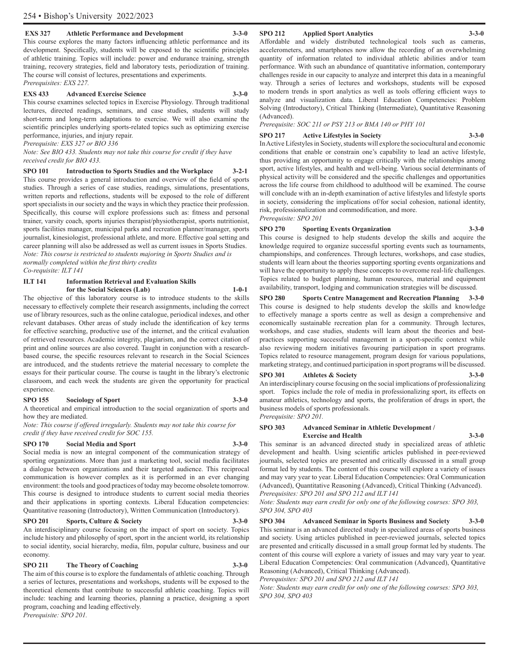#### **EXS 327 Athletic Performance and Development 3-3-0**

This course explores the many factors influencing athletic performance and its development. Specifically, students will be exposed to the scientific principles of athletic training. Topics will include: power and endurance training, strength training, recovery strategies, field and laboratory tests, periodization of training. The course will consist of lectures, presentations and experiments. *Prerequisites: EXS 227.*

#### **EXS 433 Advanced Exercise Science 3-3-0**

This course examines selected topics in Exercise Physiology. Through traditional lectures, directed readings, seminars, and case studies, students will study short-term and long-term adaptations to exercise. We will also examine the

scientific principles underlying sports-related topics such as optimizing exercise performance, injuries, and injury repair. *Prerequisite: EXS 327 or BIO 336*

*Note: See BIO 433. Students may not take this course for credit if they have received credit for BIO 433.*

**SPO 101 Introduction to Sports Studies and the Workplace 3-2-1** This course provides a general introduction and overview of the field of sports studies. Through a series of case studies, readings, simulations, presentations, written reports and reflections, students will be exposed to the role of different sport specialists in our society and the ways in which they practice their profession. Specifically, this course will explore professions such as: fitness and personal trainer, varsity coach, sports injuries therapist/physiotherapist, sports nutritionist, sports facilities manager, municipal parks and recreation planner/manager, sports journalist, kinesiologist, professional athlete, and more. Effective goal setting and career planning will also be addressed as well as current issues in Sports Studies. *Note: This course is restricted to students majoring in Sports Studies and is normally completed within the first thirty credits* 

*Co-requisite: ILT 141* 

#### **ILT 141 Information Retrieval and Evaluation Skills for the Social Sciences (Lab) 1-0-1**

The objective of this laboratory course is to introduce students to the skills necessary to effectively complete their research assignments, including the correct use of library resources, such as the online catalogue, periodical indexes, and other relevant databases. Other areas of study include the identification of key terms for effective searching, productive use of the internet, and the critical evaluation of retrieved resources. Academic integrity, plagiarism, and the correct citation of print and online sources are also covered. Taught in conjunction with a researchbased course, the specific resources relevant to research in the Social Sciences are introduced, and the students retrieve the material necessary to complete the essays for their particular course. The course is taught in the library's electronic classroom, and each week the students are given the opportunity for practical experience.

#### **SPO 155 Sociology of Sport 3-3-0**

A theoretical and empirical introduction to the social organization of sports and how they are mediated.

*Note: This course if offered irregularly. Students may not take this course for credit if they have received credit for SOC 155.*

#### **SPO 170 Social Media and Sport 3-3-0**

Social media is now an integral component of the communication strategy of sporting organizations. More than just a marketing tool, social media facilitates a dialogue between organizations and their targeted audience. This reciprocal communication is however complex as it is performed in an ever changing environment: the tools and good practices of today may become obsolete tomorrow. This course is designed to introduce students to current social media theories and their applications in sporting contexts. Liberal Education competencies: Quantitative reasoning (Introductory), Written Communication (Introductory).

#### **SPO 201 Sports, Culture & Society 3-3-0**

An interdisciplinary course focusing on the impact of sport on society. Topics include history and philosophy of sport, sport in the ancient world, its relationship to social identity, social hierarchy, media, film, popular culture, business and our economy.

#### **SPO 211 The Theory of Coaching**

The aim of this course is to explore the fundamentals of athletic coaching. Through a series of lectures, presentations and workshops, students will be exposed to the theoretical elements that contribute to successful athletic coaching. Topics will include: teaching and learning theories, planning a practice, designing a sport program, coaching and leading effectively.

*Prerequisite: SPO 201.*

#### **SPO 212 Applied Sport Analytics 3-3-0**

Affordable and widely distributed technological tools such as cameras, accelerometers, and smartphones now allow the recording of an overwhelming quantity of information related to individual athletic abilities and/or team performance. With such an abundance of quantitative information, contemporary challenges reside in our capacity to analyze and interpret this data in a meaningful way. Through a series of lectures and workshops, students will be exposed to modern trends in sport analytics as well as tools offering efficient ways to analyze and visualization data. Liberal Education Competencies: Problem Solving (Introductory), Critical Thinking (Intermediate), Quantitative Reasoning (Advanced).

*Prerequisite: SOC 211 or PSY 213 or BMA 140 or PHY 101*

#### **SPO 217 Active Lifestyles in Society 3-3-0**

In Active Lifestyles in Society, students will explore the sociocultural and economic conditions that enable or constrain one's capability to lead an active lifestyle, thus providing an opportunity to engage critically with the relationships among sport, active lifestyles, and health and well-being. Various social determinants of physical activity will be considered and the specific challenges and opportunities across the life course from childhood to adulthood will be examined. The course will conclude with an in-depth examination of active lifestyles and lifestyle sports in society, considering the implications of/for social cohesion, national identity, risk, professionalization and commodification, and more.

*Prerequisite: SPO 201*

#### **SPO 270 Sporting Events Organization 3-3-0**

This course is designed to help students develop the skills and acquire the knowledge required to organize successful sporting events such as tournaments, championships, and conferences. Through lectures, workshops, and case studies, students will learn about the theories supporting sporting events organizations and will have the opportunity to apply these concepts to overcome real-life challenges. Topics related to budget planning, human resources, material and equipment availability, transport, lodging and communication strategies will be discussed.

**SPO 280 Sports Centre Management and Recreation Planning 3-3-0** This course is designed to help students develop the skills and knowledge to effectively manage a sports centre as well as design a comprehensive and economically sustainable recreation plan for a community. Through lectures, workshops, and case studies, students will learn about the theories and bestpractices supporting successful management in a sport-specific context while also reviewing modern initiatives favouring participation in sport programs. Topics related to resource management, program design for various populations, marketing strategy, and continued participation in sport programs will be discussed.

#### **SPO 301 Athletes & Society 3-3-0**

An interdisciplinary course focusing on the social implications of professionalizing sport. Topics include the role of media in professionalizing sport, its effects on amateur athletics, technology and sports, the proliferation of drugs in sport, the business models of sports professionals. *Prerequisite: SPO 201.*

#### **SPO 303 Advanced Seminar in Athletic Development / Exercise and Health 3-3-0**

This seminar is an advanced directed study in specialized areas of athletic development and health. Using scientific articles published in peer-reviewed journals, selected topics are presented and critically discussed in a small group format led by students. The content of this course will explore a variety of issues and may vary year to year. Liberal Education Competencies: Oral Communication (Advanced), Quantitative Reasoning (Advanced), Critical Thinking (Advanced). *Prerequisites: SPO 201 and SPO 212 and ILT 141*

*Note: Students may earn credit for only one of the following courses: SPO 303, SPO 304, SPO 403*

**SPO 304 Advanced Seminar in Sports Business and Society 3-3-0** This seminar is an advanced directed study in specialized areas of sports business and society. Using articles published in peer-reviewed journals, selected topics are presented and critically discussed in a small group format led by students. The content of this course will explore a variety of issues and may vary year to year. Liberal Education Competencies: Oral communication (Advanced), Quantitative Reasoning (Advanced), Critical Thinking (Advanced).

*Prerequisites: SPO 201 and SPO 212 and ILT 141*

*Note: Students may earn credit for only one of the following courses: SPO 303, SPO 304, SPO 403*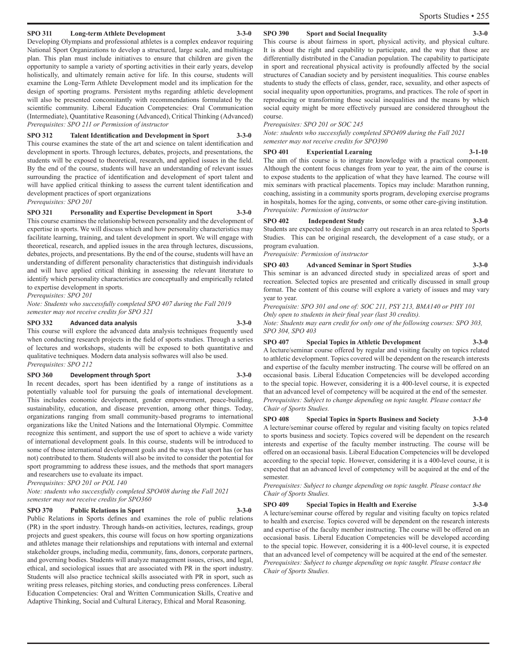#### **SPO 311 Long-term Athlete Development 3-3-0**

Developing Olympians and professional athletes is a complex endeavor requiring National Sport Organizations to develop a structured, large scale, and multistage plan. This plan must include initiatives to ensure that children are given the opportunity to sample a variety of sporting activities in their early years, develop holistically, and ultimately remain active for life. In this course, students will examine the Long-Term Athlete Development model and its implication for the design of sporting programs. Persistent myths regarding athletic development will also be presented concomitantly with recommendations formulated by the scientific community. Liberal Education Competencies: Oral Communication (Intermediate), Quantitative Reasoning (Advanced), Critical Thinking (Advanced) *Prerequisites: SPO 211 or Permission of instructor*

**SPO 312 Talent Identification and Development in Sport 3-3-0** This course examines the state of the art and science on talent identification and development in sports. Through lectures, debates, projects, and presentations, the students will be exposed to theoretical, research, and applied issues in the field. By the end of the course, students will have an understanding of relevant issues surrounding the practice of identification and development of sport talent and will have applied critical thinking to assess the current talent identification and development practices of sport organizations

*Prerequisites: SPO 201*

**SPO 321 Personality and Expertise Development in Sport 3-3-0** This course examines the relationship between personality and the development of expertise in sports. We will discuss which and how personality characteristics may facilitate learning, training, and talent development in sport. We will engage with theoretical, research, and applied issues in the area through lectures, discussions, debates, projects, and presentations. By the end of the course, students will have an understanding of different personality characteristics that distinguish individuals and will have applied critical thinking in assessing the relevant literature to identify which personality characteristics are conceptually and empirically related to expertise development in sports.

*Prerequisites: SPO 201*

*Note: Students who successfully completed SPO 407 during the Fall 2019 semester may not receive credits for SPO 321*

#### **SPO 332 Advanced data analysis 3-3-0**

This course will explore the advanced data analysis techniques frequently used when conducting research projects in the field of sports studies. Through a series of lectures and workshops, students will be exposed to both quantitative and qualitative techniques. Modern data analysis softwares will also be used. *Prerequisites: SPO 212*

#### **SPO 360 Development through Sport 3-3-0**

In recent decades, sport has been identified by a range of institutions as a potentially valuable tool for pursuing the goals of international development. This includes economic development, gender empowerment, peace-building, sustainability, education, and disease prevention, among other things. Today, organizations ranging from small community-based programs to international organizations like the United Nations and the International Olympic. Committee recognize this sentiment, and support the use of sport to achieve a wide variety of international development goals. In this course, students will be introduced to some of those international development goals and the ways that sport has (or has not) contributed to them. Students will also be invited to consider the potential for sport programming to address these issues, and the methods that sport managers and researchers use to evaluate its impact.

*Prerequisites: SPO 201 or POL 140*

*Note: students who successfully completed SPO408 during the Fall 2021 semester may not receive credits for SPO360*

#### **SPO 370 Public Relations in Sport 3-3-0**

Public Relations in Sports defines and examines the role of public relations (PR) in the sport industry. Through hands-on activities, lectures, readings, group projects and guest speakers, this course will focus on how sporting organizations and athletes manage their relationships and reputations with internal and external stakeholder groups, including media, community, fans, donors, corporate partners, and governing bodies. Students will analyze management issues, crises, and legal, ethical, and sociological issues that are associated with PR in the sport industry. Students will also practice technical skills associated with PR in sport, such as writing press releases, pitching stories, and conducting press conferences. Liberal Education Competencies: Oral and Written Communication Skills, Creative and Adaptive Thinking, Social and Cultural Literacy, Ethical and Moral Reasoning.

#### **SPO 390 Sport and Social Inequality 3-3-0**

This course is about fairness in sport, physical activity, and physical culture. It is about the right and capability to participate, and the way that those are differentially distributed in the Canadian population. The capability to participate in sport and recreational physical activity is profoundly affected by the social structures of Canadian society and by persistent inequalities. This course enables students to study the effects of class, gender, race, sexuality, and other aspects of social inequality upon opportunities, programs, and practices. The role of sport in reproducing or transforming those social inequalities and the means by which social equity might be more effectively pursued are considered throughout the course.

*Prerequisites: SPO 201 or SOC 245*

*Note: students who successfully completed SPO409 during the Fall 2021 semester may not receive credits for SPO390*

#### **SPO 401 Experiential Learning 3-1-10**

The aim of this course is to integrate knowledge with a practical component. Although the content focus changes from year to year, the aim of the course is to expose students to the application of what they have learned. The course will mix seminars with practical placements. Topics may include: Marathon running, coaching, assisting in a community sports program, developing exercise programs in hospitals, homes for the aging, convents, or some other care-giving institution. *Prerequisite: Permission of instructor*

#### **SPO 402 Independent Study 3-3-0**

Students are expected to design and carry out research in an area related to Sports Studies. This can be original research, the development of a case study, or a program evaluation.

*Prerequisite: Permission of instructor*

**SPO 403 Advanced Seminar in Sport Studies 3-3-0**

This seminar is an advanced directed study in specialized areas of sport and recreation. Selected topics are presented and critically discussed in small group format. The content of this course will explore a variety of issues and may vary year to year.

*Prerequisite: SPO 301 and one of: SOC 211, PSY 213, BMA140 or PHY 101 Only open to students in their final year (last 30 credits).*

*Note: Students may earn credit for only one of the following courses: SPO 303, SPO 304, SPO 403*

### **SPO 407 Special Topics in Athletic Development 3-3-0**

A lecture/seminar course offered by regular and visiting faculty on topics related to athletic development. Topics covered will be dependent on the research interests and expertise of the faculty member instructing. The course will be offered on an occasional basis. Liberal Education Competencies will be developed according to the special topic. However, considering it is a 400-level course, it is expected that an advanced level of competency will be acquired at the end of the semester. *Prerequisites: Subject to change depending on topic taught. Please contact the Chair of Sports Studies.*

### **SPO 408 Special Topics in Sports Business and Society 3-3-0** A lecture/seminar course offered by regular and visiting faculty on topics related

to sports business and society. Topics covered will be dependent on the research interests and expertise of the faculty member instructing. The course will be offered on an occasional basis. Liberal Education Competencies will be developed according to the special topic. However, considering it is a 400-level course, it is expected that an advanced level of competency will be acquired at the end of the semester.

*Prerequisites: Subject to change depending on topic taught. Please contact the Chair of Sports Studies.*

#### **SPO 409 Special Topics in Health and Exercise 3-3-0**

A lecture/seminar course offered by regular and visiting faculty on topics related to health and exercise. Topics covered will be dependent on the research interests and expertise of the faculty member instructing. The course will be offered on an occasional basis. Liberal Education Competencies will be developed according to the special topic. However, considering it is a 400-level course, it is expected that an advanced level of competency will be acquired at the end of the semester. *Prerequisites: Subject to change depending on topic taught. Please contact the Chair of Sports Studies.*